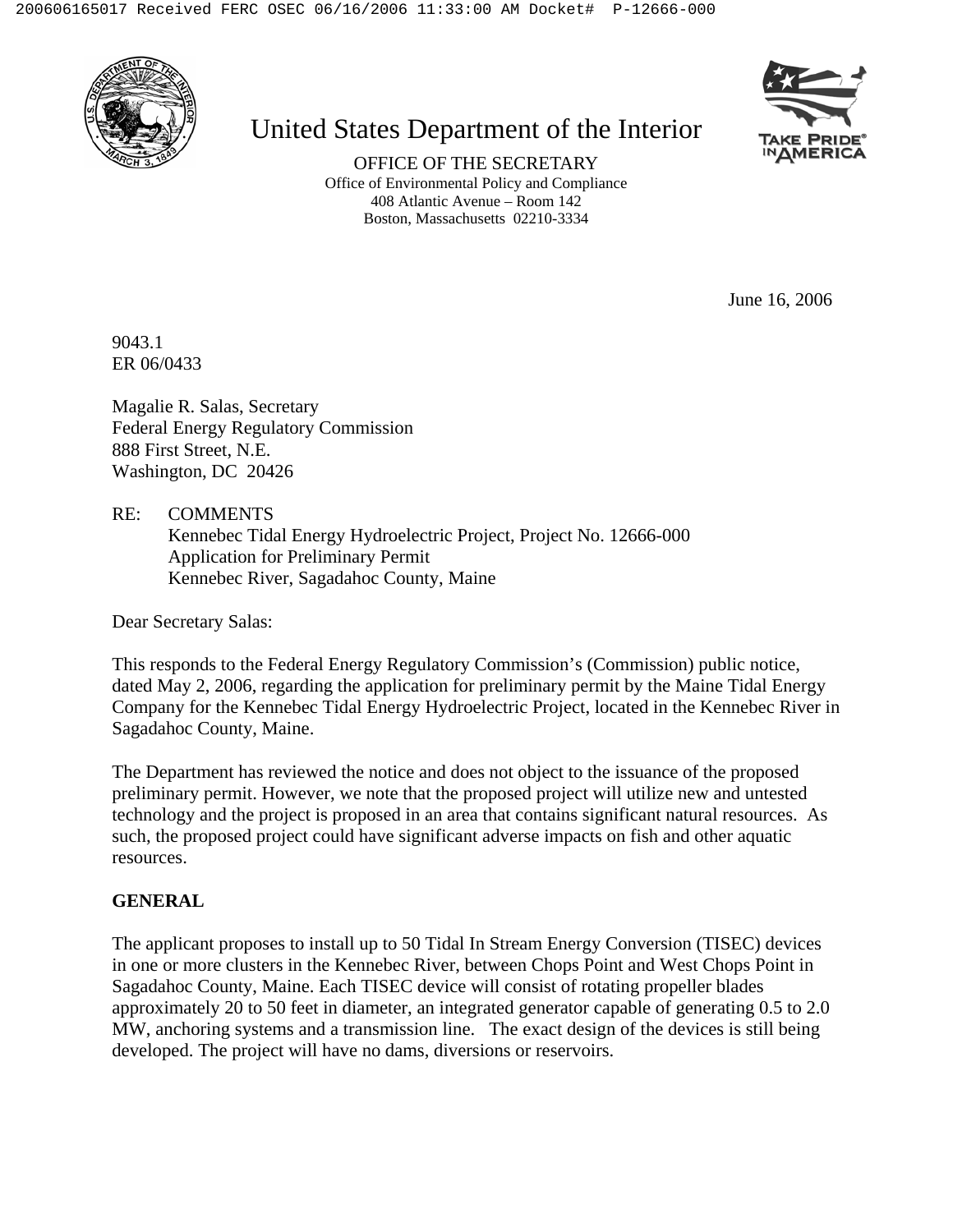

# United States Department of the Interior



OFFICE OF THE SECRETARY Office of Environmental Policy and Compliance 408 Atlantic Avenue – Room 142 Boston, Massachusetts 02210-3334

June 16, 2006

9043.1 ER 06/0433

Magalie R. Salas, Secretary Federal Energy Regulatory Commission 888 First Street, N.E. Washington, DC 20426

RE: COMMENTS Kennebec Tidal Energy Hydroelectric Project, Project No. 12666-000 Application for Preliminary Permit Kennebec River, Sagadahoc County, Maine

Dear Secretary Salas:

This responds to the Federal Energy Regulatory Commission's (Commission) public notice, dated May 2, 2006, regarding the application for preliminary permit by the Maine Tidal Energy Company for the Kennebec Tidal Energy Hydroelectric Project, located in the Kennebec River in Sagadahoc County, Maine.

The Department has reviewed the notice and does not object to the issuance of the proposed preliminary permit. However, we note that the proposed project will utilize new and untested technology and the project is proposed in an area that contains significant natural resources. As such, the proposed project could have significant adverse impacts on fish and other aquatic resources.

## **GENERAL**

The applicant proposes to install up to 50 Tidal In Stream Energy Conversion (TISEC) devices in one or more clusters in the Kennebec River, between Chops Point and West Chops Point in Sagadahoc County, Maine. Each TISEC device will consist of rotating propeller blades approximately 20 to 50 feet in diameter, an integrated generator capable of generating 0.5 to 2.0 MW, anchoring systems and a transmission line. The exact design of the devices is still being developed. The project will have no dams, diversions or reservoirs.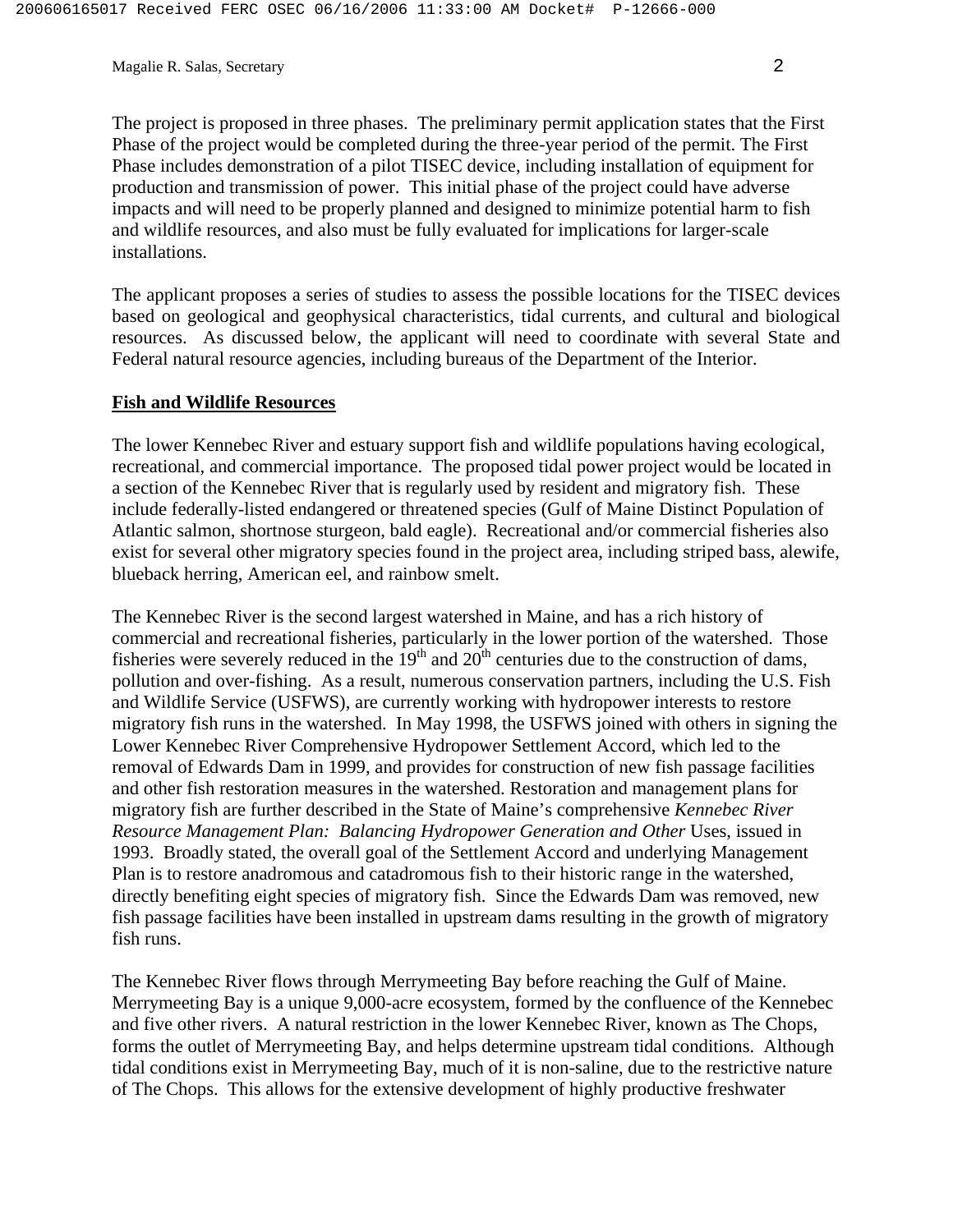Magalie R. Salas, Secretary 2

The project is proposed in three phases. The preliminary permit application states that the First Phase of the project would be completed during the three-year period of the permit. The First Phase includes demonstration of a pilot TISEC device, including installation of equipment for production and transmission of power. This initial phase of the project could have adverse impacts and will need to be properly planned and designed to minimize potential harm to fish and wildlife resources, and also must be fully evaluated for implications for larger-scale installations.

The applicant proposes a series of studies to assess the possible locations for the TISEC devices based on geological and geophysical characteristics, tidal currents, and cultural and biological resources. As discussed below, the applicant will need to coordinate with several State and Federal natural resource agencies, including bureaus of the Department of the Interior.

#### **Fish and Wildlife Resources**

The lower Kennebec River and estuary support fish and wildlife populations having ecological, recreational, and commercial importance. The proposed tidal power project would be located in a section of the Kennebec River that is regularly used by resident and migratory fish. These include federally-listed endangered or threatened species (Gulf of Maine Distinct Population of Atlantic salmon, shortnose sturgeon, bald eagle). Recreational and/or commercial fisheries also exist for several other migratory species found in the project area, including striped bass, alewife, blueback herring, American eel, and rainbow smelt.

The Kennebec River is the second largest watershed in Maine, and has a rich history of commercial and recreational fisheries, particularly in the lower portion of the watershed. Those fisheries were severely reduced in the  $19<sup>th</sup>$  and  $20<sup>th</sup>$  centuries due to the construction of dams, pollution and over-fishing. As a result, numerous conservation partners, including the U.S. Fish and Wildlife Service (USFWS), are currently working with hydropower interests to restore migratory fish runs in the watershed. In May 1998, the USFWS joined with others in signing the Lower Kennebec River Comprehensive Hydropower Settlement Accord, which led to the removal of Edwards Dam in 1999, and provides for construction of new fish passage facilities and other fish restoration measures in the watershed. Restoration and management plans for migratory fish are further described in the State of Maine's comprehensive *Kennebec River Resource Management Plan: Balancing Hydropower Generation and Other Uses, issued in* 1993. Broadly stated, the overall goal of the Settlement Accord and underlying Management Plan is to restore anadromous and catadromous fish to their historic range in the watershed, directly benefiting eight species of migratory fish. Since the Edwards Dam was removed, new fish passage facilities have been installed in upstream dams resulting in the growth of migratory fish runs.

The Kennebec River flows through Merrymeeting Bay before reaching the Gulf of Maine. Merrymeeting Bay is a unique 9,000-acre ecosystem, formed by the confluence of the Kennebec and five other rivers. A natural restriction in the lower Kennebec River, known as The Chops, forms the outlet of Merrymeeting Bay, and helps determine upstream tidal conditions. Although tidal conditions exist in Merrymeeting Bay, much of it is non-saline, due to the restrictive nature of The Chops. This allows for the extensive development of highly productive freshwater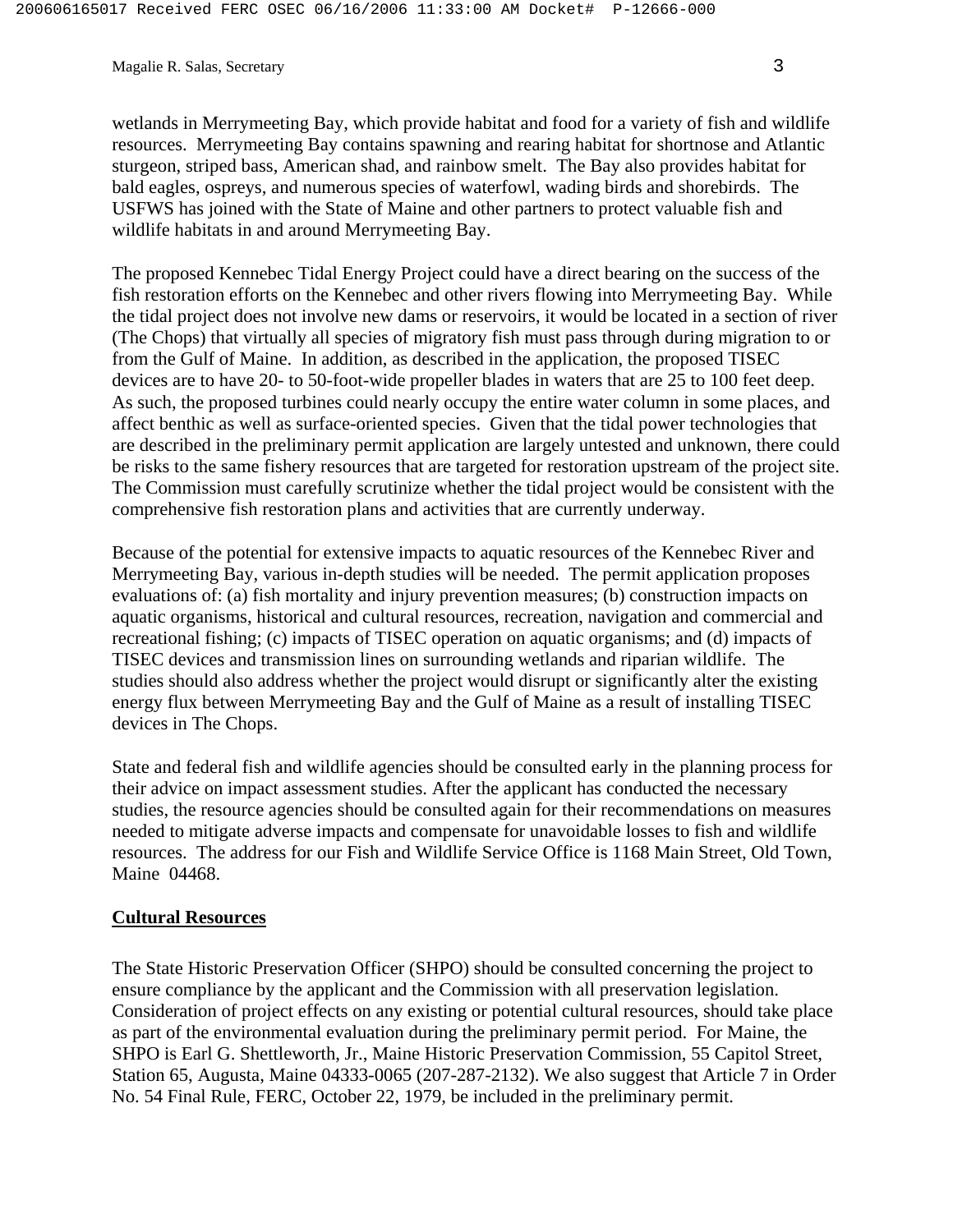Magalie R. Salas, Secretary 3

wetlands in Merrymeeting Bay, which provide habitat and food for a variety of fish and wildlife resources. Merrymeeting Bay contains spawning and rearing habitat for shortnose and Atlantic sturgeon, striped bass, American shad, and rainbow smelt. The Bay also provides habitat for bald eagles, ospreys, and numerous species of waterfowl, wading birds and shorebirds. The USFWS has joined with the State of Maine and other partners to protect valuable fish and wildlife habitats in and around Merrymeeting Bay.

The proposed Kennebec Tidal Energy Project could have a direct bearing on the success of the fish restoration efforts on the Kennebec and other rivers flowing into Merrymeeting Bay. While the tidal project does not involve new dams or reservoirs, it would be located in a section of river (The Chops) that virtually all species of migratory fish must pass through during migration to or from the Gulf of Maine. In addition, as described in the application, the proposed TISEC devices are to have 20- to 50-foot-wide propeller blades in waters that are 25 to 100 feet deep. As such, the proposed turbines could nearly occupy the entire water column in some places, and affect benthic as well as surface-oriented species. Given that the tidal power technologies that are described in the preliminary permit application are largely untested and unknown, there could be risks to the same fishery resources that are targeted for restoration upstream of the project site. The Commission must carefully scrutinize whether the tidal project would be consistent with the comprehensive fish restoration plans and activities that are currently underway.

Because of the potential for extensive impacts to aquatic resources of the Kennebec River and Merrymeeting Bay, various in-depth studies will be needed. The permit application proposes evaluations of: (a) fish mortality and injury prevention measures; (b) construction impacts on aquatic organisms, historical and cultural resources, recreation, navigation and commercial and recreational fishing; (c) impacts of TISEC operation on aquatic organisms; and (d) impacts of TISEC devices and transmission lines on surrounding wetlands and riparian wildlife. The studies should also address whether the project would disrupt or significantly alter the existing energy flux between Merrymeeting Bay and the Gulf of Maine as a result of installing TISEC devices in The Chops.

State and federal fish and wildlife agencies should be consulted early in the planning process for their advice on impact assessment studies. After the applicant has conducted the necessary studies, the resource agencies should be consulted again for their recommendations on measures needed to mitigate adverse impacts and compensate for unavoidable losses to fish and wildlife resources. The address for our Fish and Wildlife Service Office is 1168 Main Street, Old Town, Maine 04468.

#### **Cultural Resources**

The State Historic Preservation Officer (SHPO) should be consulted concerning the project to ensure compliance by the applicant and the Commission with all preservation legislation. Consideration of project effects on any existing or potential cultural resources, should take place as part of the environmental evaluation during the preliminary permit period. For Maine, the SHPO is Earl G. Shettleworth, Jr., Maine Historic Preservation Commission, 55 Capitol Street, Station 65, Augusta, Maine 04333-0065 (207-287-2132). We also suggest that Article 7 in Order No. 54 Final Rule, FERC, October 22, 1979, be included in the preliminary permit.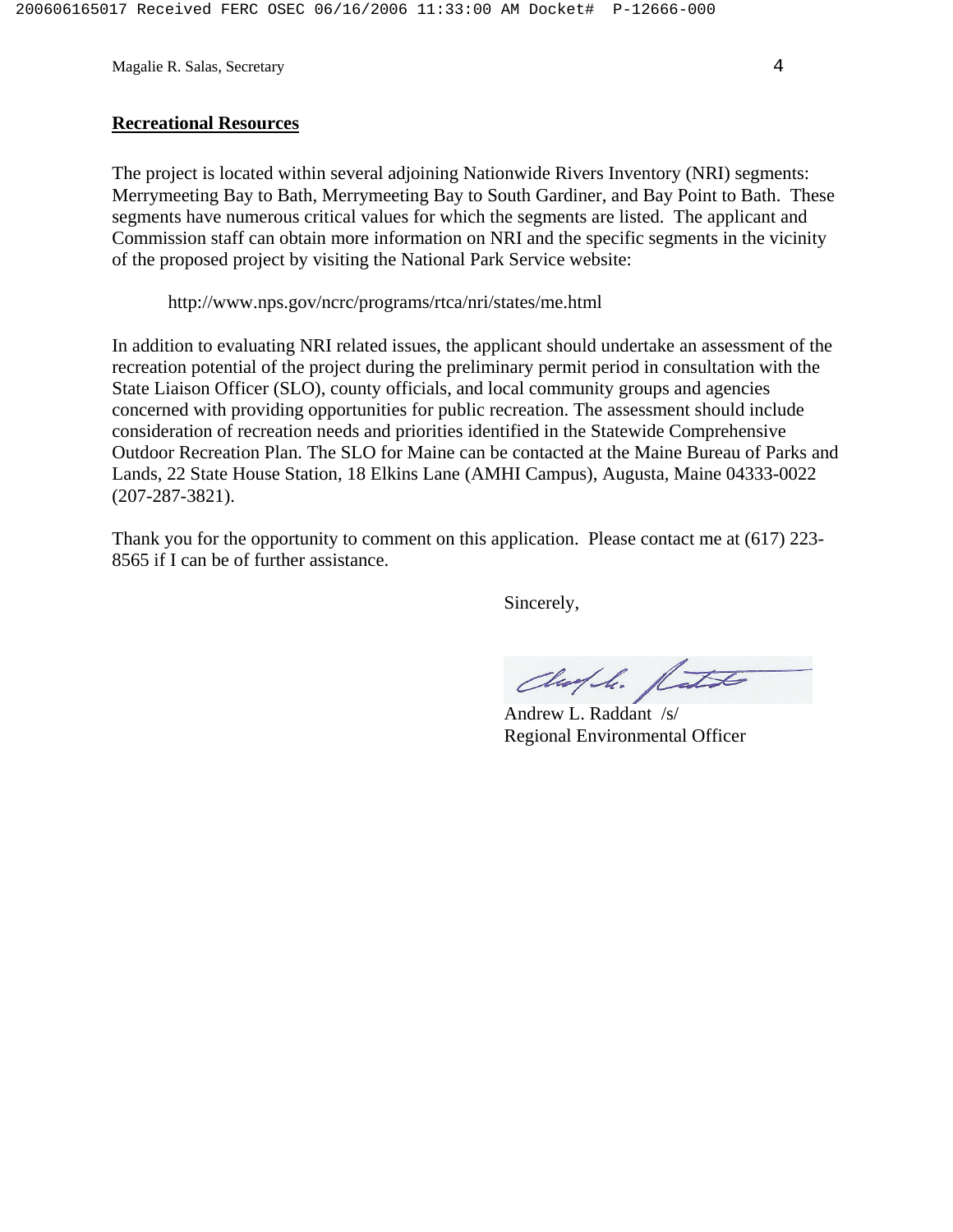Magalie R. Salas, Secretary 4

### **Recreational Resources**

The project is located within several adjoining Nationwide Rivers Inventory (NRI) segments: Merrymeeting Bay to Bath, Merrymeeting Bay to South Gardiner, and Bay Point to Bath. These segments have numerous critical values for which the segments are listed. The applicant and Commission staff can obtain more information on NRI and the specific segments in the vicinity of the proposed project by visiting the National Park Service website:

http://www.nps.gov/ncrc/programs/rtca/nri/states/me.html

In addition to evaluating NRI related issues, the applicant should undertake an assessment of the recreation potential of the project during the preliminary permit period in consultation with the State Liaison Officer (SLO), county officials, and local community groups and agencies concerned with providing opportunities for public recreation. The assessment should include consideration of recreation needs and priorities identified in the Statewide Comprehensive Outdoor Recreation Plan. The SLO for Maine can be contacted at the Maine Bureau of Parks and Lands, 22 State House Station, 18 Elkins Lane (AMHI Campus), Augusta, Maine 04333-0022 (207-287-3821).

Thank you for the opportunity to comment on this application. Please contact me at (617) 223- 8565 if I can be of further assistance.

Sincerely,

Chaple. fath

 Andrew L. Raddant /s/ Regional Environmental Officer